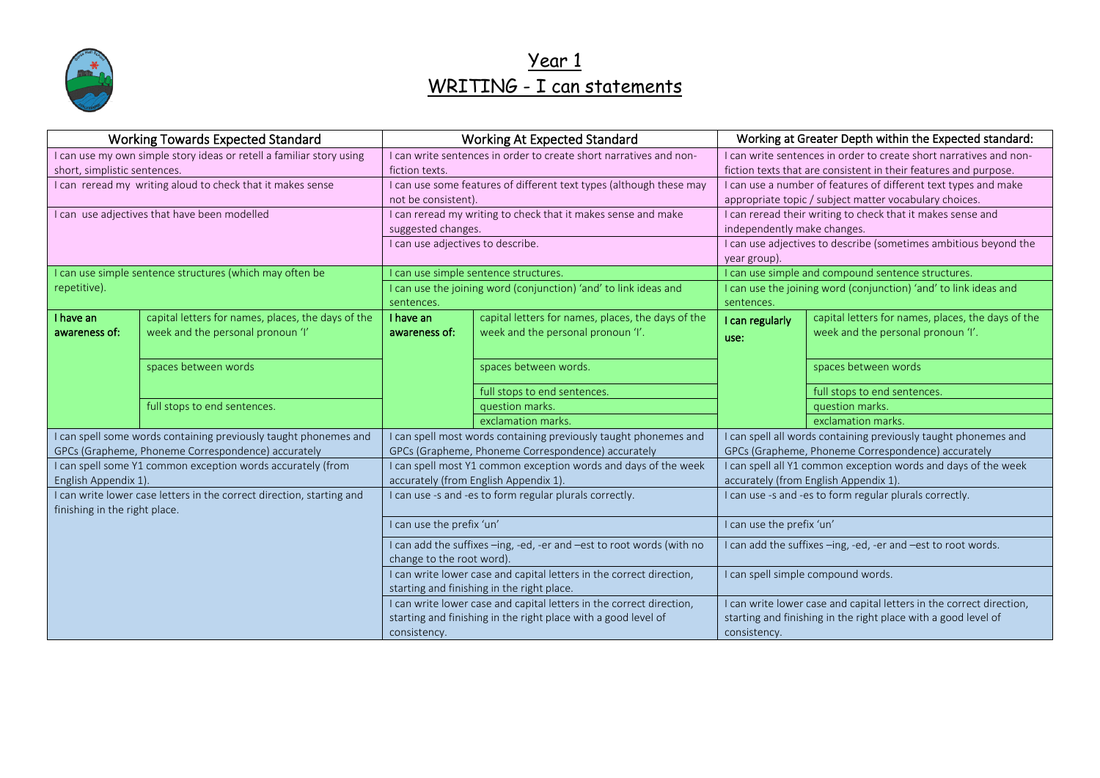

#### Year 1 WRITING - I can statements

| <b>Working Towards Expected Standard</b>                                                               |                                                                  | <b>Working At Expected Standard</b>                                                        |                                                    | Working at Greater Depth within the Expected standard:                                                                                 |                                                                      |
|--------------------------------------------------------------------------------------------------------|------------------------------------------------------------------|--------------------------------------------------------------------------------------------|----------------------------------------------------|----------------------------------------------------------------------------------------------------------------------------------------|----------------------------------------------------------------------|
| I can use my own simple story ideas or retell a familiar story using<br>short, simplistic sentences.   |                                                                  | I can write sentences in order to create short narratives and non-<br>fiction texts.       |                                                    | I can write sentences in order to create short narratives and non-<br>fiction texts that are consistent in their features and purpose. |                                                                      |
| I can reread my writing aloud to check that it makes sense                                             |                                                                  | I can use some features of different text types (although these may<br>not be consistent). |                                                    | I can use a number of features of different text types and make<br>appropriate topic / subject matter vocabulary choices.              |                                                                      |
| I can use adjectives that have been modelled                                                           |                                                                  | I can reread my writing to check that it makes sense and make<br>suggested changes.        |                                                    | I can reread their writing to check that it makes sense and<br>independently make changes.                                             |                                                                      |
|                                                                                                        |                                                                  | I can use adjectives to describe.                                                          |                                                    | I can use adjectives to describe (sometimes ambitious beyond the<br>year group).                                                       |                                                                      |
|                                                                                                        | I can use simple sentence structures (which may often be         | I can use simple sentence structures.                                                      |                                                    | I can use simple and compound sentence structures.                                                                                     |                                                                      |
| repetitive).                                                                                           |                                                                  | I can use the joining word (conjunction) 'and' to link ideas and<br>sentences.             |                                                    | I can use the joining word (conjunction) 'and' to link ideas and<br>sentences.                                                         |                                                                      |
| I have an                                                                                              | capital letters for names, places, the days of the               | I have an                                                                                  | capital letters for names, places, the days of the | I can regularly                                                                                                                        | capital letters for names, places, the days of the                   |
| awareness of:                                                                                          | week and the personal pronoun 'I'                                | awareness of:                                                                              | week and the personal pronoun 'I'.                 | use:                                                                                                                                   | week and the personal pronoun 'I'.                                   |
|                                                                                                        |                                                                  |                                                                                            |                                                    |                                                                                                                                        |                                                                      |
|                                                                                                        | spaces between words                                             |                                                                                            | spaces between words.                              |                                                                                                                                        | spaces between words                                                 |
|                                                                                                        |                                                                  |                                                                                            | full stops to end sentences.                       |                                                                                                                                        | full stops to end sentences.                                         |
|                                                                                                        | full stops to end sentences.                                     |                                                                                            | question marks.                                    |                                                                                                                                        | question marks.                                                      |
|                                                                                                        |                                                                  |                                                                                            | exclamation marks.                                 |                                                                                                                                        | exclamation marks.                                                   |
|                                                                                                        | I can spell some words containing previously taught phonemes and | I can spell most words containing previously taught phonemes and                           |                                                    |                                                                                                                                        | I can spell all words containing previously taught phonemes and      |
|                                                                                                        | GPCs (Grapheme, Phoneme Correspondence) accurately               | GPCs (Grapheme, Phoneme Correspondence) accurately                                         |                                                    |                                                                                                                                        | GPCs (Grapheme, Phoneme Correspondence) accurately                   |
|                                                                                                        | I can spell some Y1 common exception words accurately (from      | I can spell most Y1 common exception words and days of the week                            |                                                    |                                                                                                                                        | I can spell all Y1 common exception words and days of the week       |
| English Appendix 1).                                                                                   |                                                                  | accurately (from English Appendix 1).                                                      |                                                    |                                                                                                                                        | accurately (from English Appendix 1).                                |
| I can write lower case letters in the correct direction, starting and<br>finishing in the right place. |                                                                  | I can use -s and -es to form regular plurals correctly.                                    |                                                    |                                                                                                                                        | I can use -s and -es to form regular plurals correctly.              |
|                                                                                                        |                                                                  | I can use the prefix 'un'                                                                  |                                                    | I can use the prefix 'un'                                                                                                              |                                                                      |
|                                                                                                        |                                                                  | I can add the suffixes -ing, -ed, -er and -est to root words (with no                      |                                                    |                                                                                                                                        | I can add the suffixes -ing, -ed, -er and -est to root words.        |
|                                                                                                        |                                                                  | change to the root word).                                                                  |                                                    |                                                                                                                                        |                                                                      |
|                                                                                                        |                                                                  | I can write lower case and capital letters in the correct direction,                       |                                                    |                                                                                                                                        | I can spell simple compound words.                                   |
|                                                                                                        |                                                                  | starting and finishing in the right place.                                                 |                                                    |                                                                                                                                        |                                                                      |
|                                                                                                        |                                                                  | I can write lower case and capital letters in the correct direction,                       |                                                    |                                                                                                                                        | I can write lower case and capital letters in the correct direction, |
|                                                                                                        |                                                                  | starting and finishing in the right place with a good level of                             |                                                    | starting and finishing in the right place with a good level of                                                                         |                                                                      |
|                                                                                                        |                                                                  | consistency.                                                                               |                                                    | consistency.                                                                                                                           |                                                                      |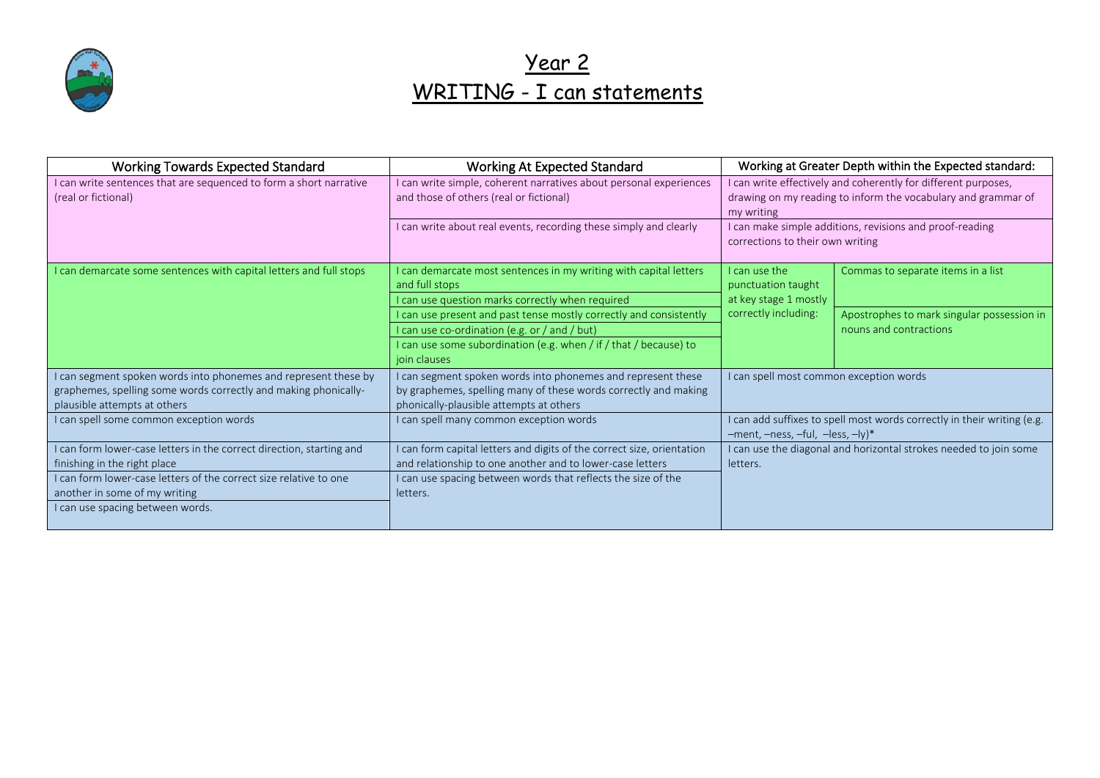

# Year 2 WRITING - I can statements

| <b>Working Towards Expected Standard</b>                                                             | <b>Working At Expected Standard</b>                                                                                                 | Working at Greater Depth within the Expected standard:                                                                                        |                                                                         |
|------------------------------------------------------------------------------------------------------|-------------------------------------------------------------------------------------------------------------------------------------|-----------------------------------------------------------------------------------------------------------------------------------------------|-------------------------------------------------------------------------|
| I can write sentences that are sequenced to form a short narrative<br>(real or fictional)            | can write simple, coherent narratives about personal experiences<br>and those of others (real or fictional)                         | I can write effectively and coherently for different purposes,<br>drawing on my reading to inform the vocabulary and grammar of<br>my writing |                                                                         |
|                                                                                                      | I can write about real events, recording these simply and clearly                                                                   | corrections to their own writing                                                                                                              | I can make simple additions, revisions and proof-reading                |
| I can demarcate some sentences with capital letters and full stops                                   | I can demarcate most sentences in my writing with capital letters                                                                   | I can use the                                                                                                                                 | Commas to separate items in a list                                      |
|                                                                                                      | and full stops                                                                                                                      | punctuation taught                                                                                                                            |                                                                         |
|                                                                                                      | I can use question marks correctly when required                                                                                    | at key stage 1 mostly                                                                                                                         |                                                                         |
|                                                                                                      | I can use present and past tense mostly correctly and consistently                                                                  | correctly including:                                                                                                                          | Apostrophes to mark singular possession in                              |
|                                                                                                      | I can use co-ordination (e.g. or / and / but)                                                                                       |                                                                                                                                               | nouns and contractions                                                  |
|                                                                                                      | I can use some subordination (e.g. when / if / that / because) to<br>join clauses                                                   |                                                                                                                                               |                                                                         |
| I can segment spoken words into phonemes and represent these by                                      | can segment spoken words into phonemes and represent these                                                                          | I can spell most common exception words                                                                                                       |                                                                         |
| graphemes, spelling some words correctly and making phonically-                                      | by graphemes, spelling many of these words correctly and making                                                                     |                                                                                                                                               |                                                                         |
| plausible attempts at others                                                                         | phonically-plausible attempts at others                                                                                             |                                                                                                                                               |                                                                         |
| I can spell some common exception words                                                              | I can spell many common exception words                                                                                             | $-$ ment, $-$ ness, $-ful$ , $-$ less, $-ly$ <sup>*</sup>                                                                                     | I can add suffixes to spell most words correctly in their writing (e.g. |
| I can form lower-case letters in the correct direction, starting and<br>finishing in the right place | I can form capital letters and digits of the correct size, orientation<br>and relationship to one another and to lower-case letters | letters.                                                                                                                                      | I can use the diagonal and horizontal strokes needed to join some       |
| I can form lower-case letters of the correct size relative to one                                    | I can use spacing between words that reflects the size of the                                                                       |                                                                                                                                               |                                                                         |
| another in some of my writing                                                                        | letters.                                                                                                                            |                                                                                                                                               |                                                                         |
| I can use spacing between words.                                                                     |                                                                                                                                     |                                                                                                                                               |                                                                         |
|                                                                                                      |                                                                                                                                     |                                                                                                                                               |                                                                         |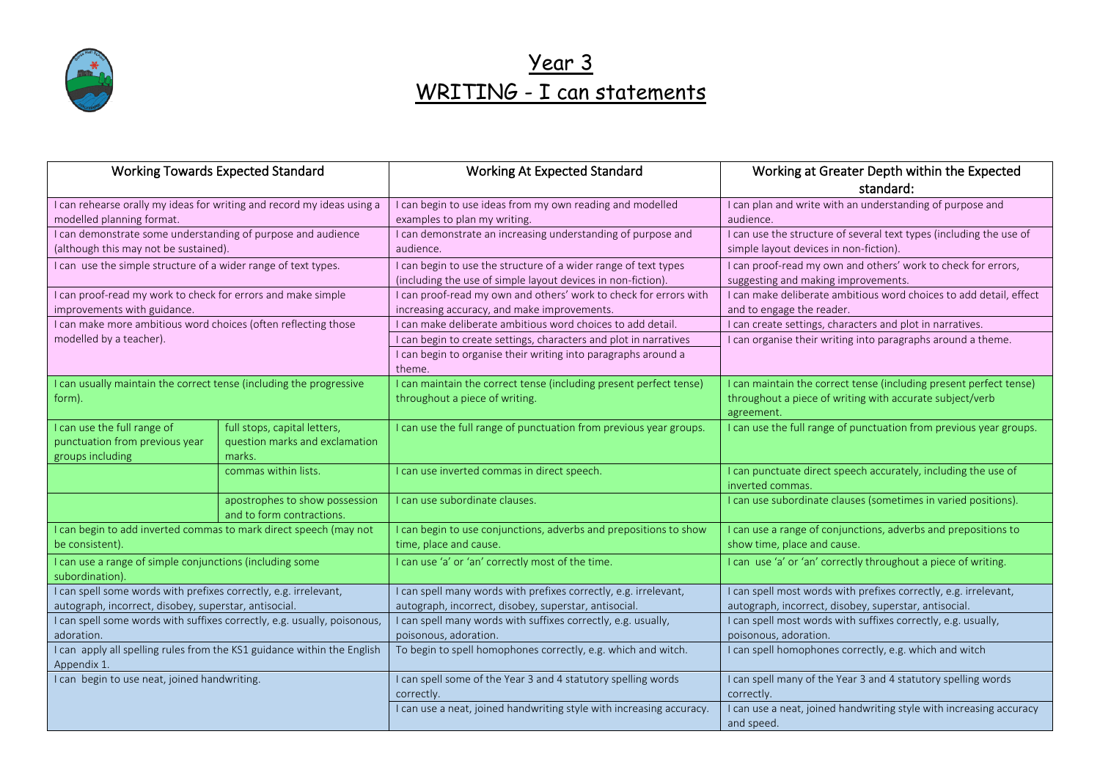

## Year 3 WRITING - I can statements

|                                                                                           | <b>Working Towards Expected Standard</b>                    | <b>Working At Expected Standard</b>                                                                                            | Working at Greater Depth within the Expected<br>standard:                                            |
|-------------------------------------------------------------------------------------------|-------------------------------------------------------------|--------------------------------------------------------------------------------------------------------------------------------|------------------------------------------------------------------------------------------------------|
| I can rehearse orally my ideas for writing and record my ideas using a                    |                                                             | I can begin to use ideas from my own reading and modelled                                                                      | I can plan and write with an understanding of purpose and                                            |
| modelled planning format.<br>I can demonstrate some understanding of purpose and audience |                                                             | examples to plan my writing.<br>I can demonstrate an increasing understanding of purpose and                                   | audience.<br>I can use the structure of several text types (including the use of                     |
| (although this may not be sustained).                                                     |                                                             | audience.                                                                                                                      | simple layout devices in non-fiction).                                                               |
| I can use the simple structure of a wider range of text types.                            |                                                             | I can begin to use the structure of a wider range of text types<br>(including the use of simple layout devices in non-fiction) | I can proof-read my own and others' work to check for errors,<br>suggesting and making improvements. |
| I can proof-read my work to check for errors and make simple                              |                                                             | I can proof-read my own and others' work to check for errors with                                                              | I can make deliberate ambitious word choices to add detail, effect                                   |
| improvements with guidance.                                                               |                                                             | increasing accuracy, and make improvements.                                                                                    | and to engage the reader.                                                                            |
| I can make more ambitious word choices (often reflecting those                            |                                                             | I can make deliberate ambitious word choices to add detail.                                                                    | I can create settings, characters and plot in narratives.                                            |
| modelled by a teacher).                                                                   |                                                             | I can begin to create settings, characters and plot in narratives                                                              | I can organise their writing into paragraphs around a theme.                                         |
|                                                                                           |                                                             | I can begin to organise their writing into paragraphs around a<br>theme.                                                       |                                                                                                      |
| I can usually maintain the correct tense (including the progressive                       |                                                             | I can maintain the correct tense (including present perfect tense)                                                             | I can maintain the correct tense (including present perfect tense)                                   |
| form).                                                                                    |                                                             | throughout a piece of writing.                                                                                                 | throughout a piece of writing with accurate subject/verb<br>agreement.                               |
| I can use the full range of                                                               | full stops, capital letters,                                | I can use the full range of punctuation from previous year groups.                                                             | I can use the full range of punctuation from previous year groups.                                   |
| punctuation from previous year                                                            | question marks and exclamation                              |                                                                                                                                |                                                                                                      |
| groups including                                                                          | marks.                                                      |                                                                                                                                |                                                                                                      |
|                                                                                           | commas within lists.                                        | I can use inverted commas in direct speech.                                                                                    | I can punctuate direct speech accurately, including the use of<br>inverted commas.                   |
|                                                                                           | apostrophes to show possession<br>and to form contractions. | I can use subordinate clauses.                                                                                                 | I can use subordinate clauses (sometimes in varied positions).                                       |
| I can begin to add inverted commas to mark direct speech (may not                         |                                                             | I can begin to use conjunctions, adverbs and prepositions to show                                                              | I can use a range of conjunctions, adverbs and prepositions to                                       |
| be consistent).                                                                           |                                                             | time, place and cause.                                                                                                         | show time, place and cause.                                                                          |
| I can use a range of simple conjunctions (including some<br>subordination).               |                                                             | I can use 'a' or 'an' correctly most of the time.                                                                              | I can use 'a' or 'an' correctly throughout a piece of writing.                                       |
| I can spell some words with prefixes correctly, e.g. irrelevant,                          |                                                             | I can spell many words with prefixes correctly, e.g. irrelevant,                                                               | I can spell most words with prefixes correctly, e.g. irrelevant,                                     |
| autograph, incorrect, disobey, superstar, antisocial.                                     |                                                             | autograph, incorrect, disobey, superstar, antisocial.                                                                          | autograph, incorrect, disobey, superstar, antisocial.                                                |
| I can spell some words with suffixes correctly, e.g. usually, poisonous,<br>adoration.    |                                                             | I can spell many words with suffixes correctly, e.g. usually,<br>poisonous, adoration.                                         | I can spell most words with suffixes correctly, e.g. usually,<br>poisonous, adoration.               |
| I can apply all spelling rules from the KS1 guidance within the English                   |                                                             | To begin to spell homophones correctly, e.g. which and witch.                                                                  | I can spell homophones correctly, e.g. which and witch                                               |
| Appendix 1.                                                                               |                                                             |                                                                                                                                |                                                                                                      |
| I can begin to use neat, joined handwriting.                                              |                                                             | I can spell some of the Year 3 and 4 statutory spelling words<br>correctly.                                                    | I can spell many of the Year 3 and 4 statutory spelling words<br>correctly.                          |
|                                                                                           |                                                             | I can use a neat, joined handwriting style with increasing accuracy.                                                           | I can use a neat, joined handwriting style with increasing accuracy<br>and speed.                    |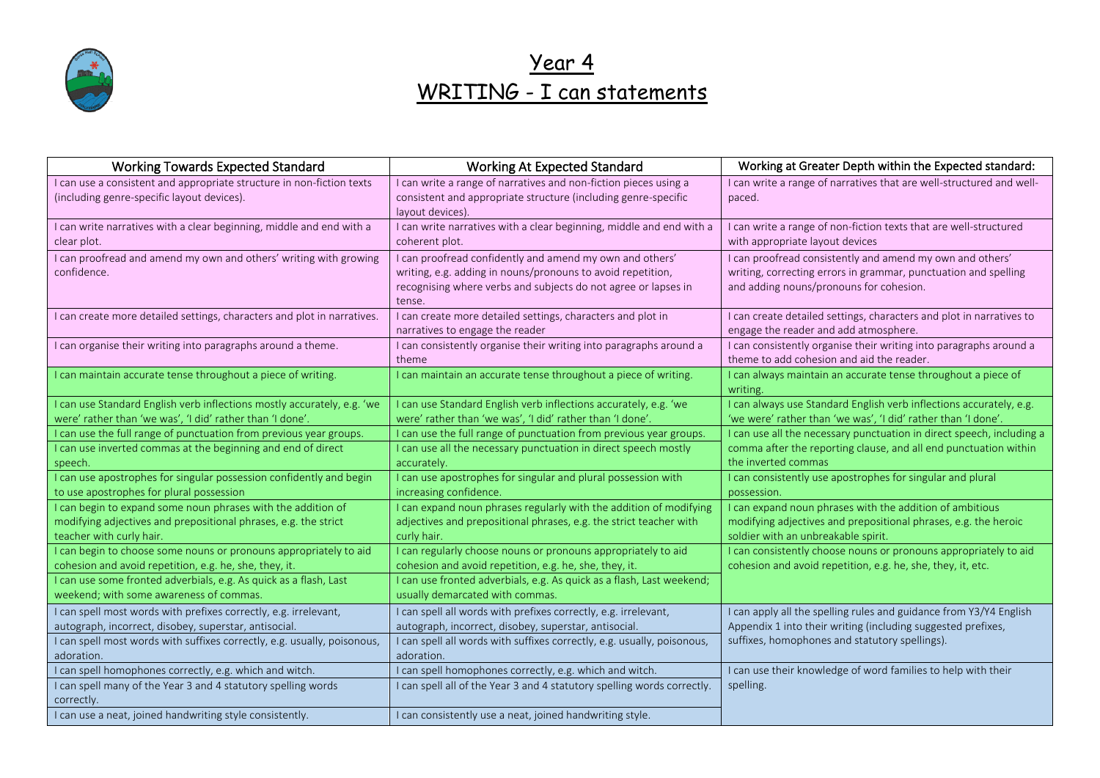

Year 4 WRITING - I can statements

| <b>Working Towards Expected Standard</b>                                                                                                                                                                                                    | <b>Working At Expected Standard</b>                                                                                                                                                                                                                  | Working at Greater Depth within the Expected standard:                                                                                                                               |
|---------------------------------------------------------------------------------------------------------------------------------------------------------------------------------------------------------------------------------------------|------------------------------------------------------------------------------------------------------------------------------------------------------------------------------------------------------------------------------------------------------|--------------------------------------------------------------------------------------------------------------------------------------------------------------------------------------|
| I can use a consistent and appropriate structure in non-fiction texts<br>(including genre-specific layout devices).                                                                                                                         | I can write a range of narratives and non-fiction pieces using a<br>consistent and appropriate structure (including genre-specific<br>layout devices).                                                                                               | I can write a range of narratives that are well-structured and well-<br>paced.                                                                                                       |
| I can write narratives with a clear beginning, middle and end with a<br>clear plot.                                                                                                                                                         | I can write narratives with a clear beginning, middle and end with a<br>coherent plot.                                                                                                                                                               | I can write a range of non-fiction texts that are well-structured<br>with appropriate layout devices                                                                                 |
| I can proofread and amend my own and others' writing with growing<br>confidence.                                                                                                                                                            | I can proofread confidently and amend my own and others'<br>writing, e.g. adding in nouns/pronouns to avoid repetition,<br>recognising where verbs and subjects do not agree or lapses in<br>tense.                                                  | I can proofread consistently and amend my own and others'<br>writing, correcting errors in grammar, punctuation and spelling<br>and adding nouns/pronouns for cohesion.              |
| I can create more detailed settings, characters and plot in narratives.                                                                                                                                                                     | I can create more detailed settings, characters and plot in<br>narratives to engage the reader                                                                                                                                                       | I can create detailed settings, characters and plot in narratives to<br>engage the reader and add atmosphere.                                                                        |
| I can organise their writing into paragraphs around a theme.                                                                                                                                                                                | I can consistently organise their writing into paragraphs around a<br>theme                                                                                                                                                                          | I can consistently organise their writing into paragraphs around a<br>theme to add cohesion and aid the reader.                                                                      |
| I can maintain accurate tense throughout a piece of writing.                                                                                                                                                                                | I can maintain an accurate tense throughout a piece of writing.                                                                                                                                                                                      | I can always maintain an accurate tense throughout a piece of<br>writing.                                                                                                            |
| I can use Standard English verb inflections mostly accurately, e.g. 'we<br>were' rather than 'we was', 'I did' rather than 'I done'.                                                                                                        | I can use Standard English verb inflections accurately, e.g. 'we<br>were' rather than 'we was', 'I did' rather than 'I done'.                                                                                                                        | I can always use Standard English verb inflections accurately, e.g.<br>'we were' rather than 'we was', 'I did' rather than 'I done'.                                                 |
| I can use the full range of punctuation from previous year groups.<br>I can use inverted commas at the beginning and end of direct<br>speech.                                                                                               | I can use the full range of punctuation from previous year groups.<br>I can use all the necessary punctuation in direct speech mostly<br>accurately.                                                                                                 | I can use all the necessary punctuation in direct speech, including a<br>comma after the reporting clause, and all end punctuation within<br>the inverted commas                     |
| I can use apostrophes for singular possession confidently and begin<br>to use apostrophes for plural possession                                                                                                                             | I can use apostrophes for singular and plural possession with<br>increasing confidence.                                                                                                                                                              | I can consistently use apostrophes for singular and plural<br>possession.                                                                                                            |
| I can begin to expand some noun phrases with the addition of<br>modifying adjectives and prepositional phrases, e.g. the strict<br>teacher with curly hair.                                                                                 | I can expand noun phrases regularly with the addition of modifying<br>adjectives and prepositional phrases, e.g. the strict teacher with<br>curly hair.                                                                                              | I can expand noun phrases with the addition of ambitious<br>modifying adjectives and prepositional phrases, e.g. the heroic<br>soldier with an unbreakable spirit.                   |
| I can begin to choose some nouns or pronouns appropriately to aid<br>cohesion and avoid repetition, e.g. he, she, they, it.<br>I can use some fronted adverbials, e.g. As quick as a flash, Last<br>weekend; with some awareness of commas. | I can regularly choose nouns or pronouns appropriately to aid<br>cohesion and avoid repetition, e.g. he, she, they, it.<br>I can use fronted adverbials, e.g. As quick as a flash, Last weekend;                                                     | I can consistently choose nouns or pronouns appropriately to aid<br>cohesion and avoid repetition, e.g. he, she, they, it, etc.                                                      |
| I can spell most words with prefixes correctly, e.g. irrelevant,<br>autograph, incorrect, disobey, superstar, antisocial.<br>I can spell most words with suffixes correctly, e.g. usually, poisonous,<br>adoration.                         | usually demarcated with commas.<br>I can spell all words with prefixes correctly, e.g. irrelevant,<br>autograph, incorrect, disobey, superstar, antisocial.<br>I can spell all words with suffixes correctly, e.g. usually, poisonous,<br>adoration. | I can apply all the spelling rules and guidance from Y3/Y4 English<br>Appendix 1 into their writing (including suggested prefixes,<br>suffixes, homophones and statutory spellings). |
| I can spell homophones correctly, e.g. which and witch.<br>I can spell many of the Year 3 and 4 statutory spelling words<br>correctly.<br>I can use a neat, joined handwriting style consistently.                                          | I can spell homophones correctly, e.g. which and witch.<br>I can spell all of the Year 3 and 4 statutory spelling words correctly.<br>I can consistently use a neat, joined handwriting style.                                                       | I can use their knowledge of word families to help with their<br>spelling.                                                                                                           |
|                                                                                                                                                                                                                                             |                                                                                                                                                                                                                                                      |                                                                                                                                                                                      |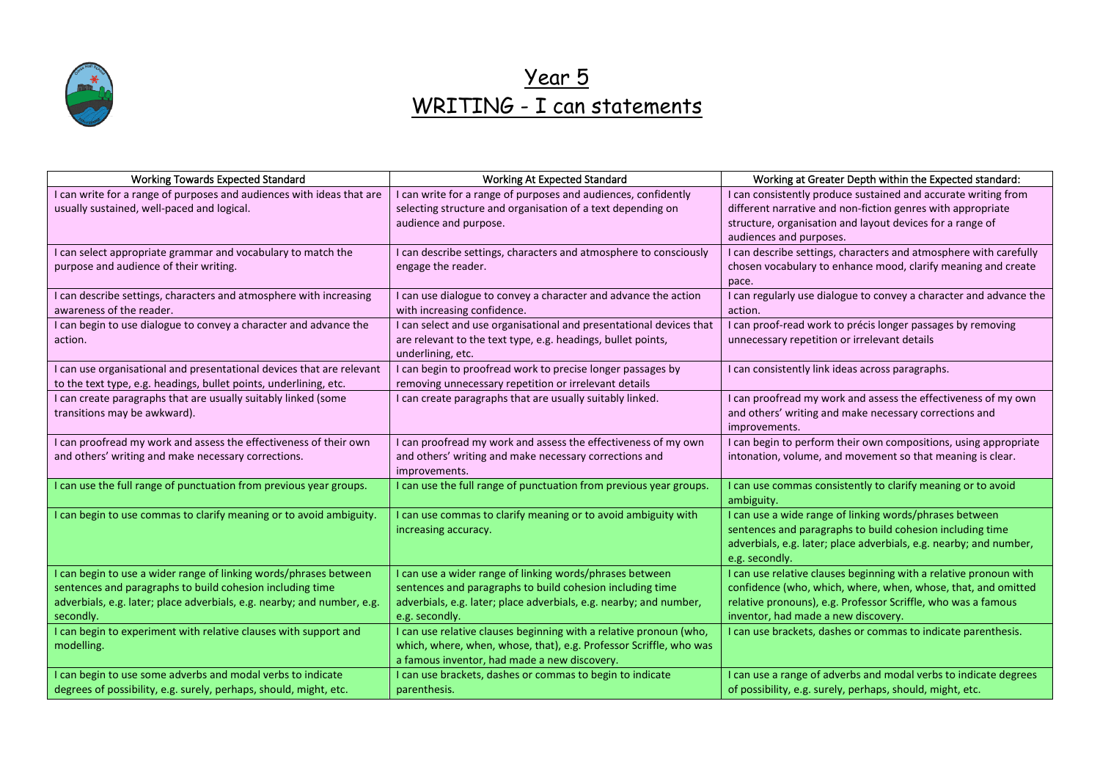

# Year 5 WRITING - I can statements

| <b>Working Towards Expected Standard</b>                                                                                       | Working At Expected Standard                                                                                                        | Working at Greater Depth within the Expected standard:                                                                             |
|--------------------------------------------------------------------------------------------------------------------------------|-------------------------------------------------------------------------------------------------------------------------------------|------------------------------------------------------------------------------------------------------------------------------------|
| I can write for a range of purposes and audiences with ideas that are<br>usually sustained, well-paced and logical.            | I can write for a range of purposes and audiences, confidently<br>selecting structure and organisation of a text depending on       | I can consistently produce sustained and accurate writing from<br>different narrative and non-fiction genres with appropriate      |
|                                                                                                                                | audience and purpose.                                                                                                               | structure, organisation and layout devices for a range of                                                                          |
|                                                                                                                                |                                                                                                                                     | audiences and purposes.                                                                                                            |
| I can select appropriate grammar and vocabulary to match the                                                                   | I can describe settings, characters and atmosphere to consciously                                                                   | I can describe settings, characters and atmosphere with carefully                                                                  |
| purpose and audience of their writing.                                                                                         | engage the reader.                                                                                                                  | chosen vocabulary to enhance mood, clarify meaning and create<br>pace.                                                             |
| I can describe settings, characters and atmosphere with increasing                                                             | I can use dialogue to convey a character and advance the action                                                                     | I can regularly use dialogue to convey a character and advance the                                                                 |
| awareness of the reader.                                                                                                       | with increasing confidence.                                                                                                         | action.                                                                                                                            |
| I can begin to use dialogue to convey a character and advance the<br>action.                                                   | I can select and use organisational and presentational devices that<br>are relevant to the text type, e.g. headings, bullet points, | I can proof-read work to précis longer passages by removing<br>unnecessary repetition or irrelevant details                        |
|                                                                                                                                | underlining, etc.                                                                                                                   |                                                                                                                                    |
| I can use organisational and presentational devices that are relevant                                                          | I can begin to proofread work to precise longer passages by                                                                         | I can consistently link ideas across paragraphs.                                                                                   |
| to the text type, e.g. headings, bullet points, underlining, etc.                                                              | removing unnecessary repetition or irrelevant details                                                                               |                                                                                                                                    |
| I can create paragraphs that are usually suitably linked (some                                                                 | I can create paragraphs that are usually suitably linked.                                                                           | I can proofread my work and assess the effectiveness of my own                                                                     |
| transitions may be awkward).                                                                                                   |                                                                                                                                     | and others' writing and make necessary corrections and                                                                             |
|                                                                                                                                |                                                                                                                                     | improvements.                                                                                                                      |
| I can proofread my work and assess the effectiveness of their own                                                              | I can proofread my work and assess the effectiveness of my own                                                                      | I can begin to perform their own compositions, using appropriate                                                                   |
| and others' writing and make necessary corrections.                                                                            | and others' writing and make necessary corrections and<br>improvements.                                                             | intonation, volume, and movement so that meaning is clear.                                                                         |
| I can use the full range of punctuation from previous year groups.                                                             | I can use the full range of punctuation from previous year groups.                                                                  | I can use commas consistently to clarify meaning or to avoid                                                                       |
|                                                                                                                                |                                                                                                                                     | ambiguity.                                                                                                                         |
| I can begin to use commas to clarify meaning or to avoid ambiguity.                                                            | I can use commas to clarify meaning or to avoid ambiguity with                                                                      | I can use a wide range of linking words/phrases between                                                                            |
|                                                                                                                                | increasing accuracy.                                                                                                                | sentences and paragraphs to build cohesion including time                                                                          |
|                                                                                                                                |                                                                                                                                     | adverbials, e.g. later; place adverbials, e.g. nearby; and number,                                                                 |
|                                                                                                                                |                                                                                                                                     | e.g. secondly.                                                                                                                     |
| I can begin to use a wider range of linking words/phrases between<br>sentences and paragraphs to build cohesion including time | I can use a wider range of linking words/phrases between<br>sentences and paragraphs to build cohesion including time               | I can use relative clauses beginning with a relative pronoun with<br>confidence (who, which, where, when, whose, that, and omitted |
| adverbials, e.g. later; place adverbials, e.g. nearby; and number, e.g.                                                        | adverbials, e.g. later; place adverbials, e.g. nearby; and number,                                                                  | relative pronouns), e.g. Professor Scriffle, who was a famous                                                                      |
| secondly.                                                                                                                      | e.g. secondly.                                                                                                                      | inventor, had made a new discovery.                                                                                                |
| I can begin to experiment with relative clauses with support and                                                               | I can use relative clauses beginning with a relative pronoun (who,                                                                  | I can use brackets, dashes or commas to indicate parenthesis.                                                                      |
| modelling.                                                                                                                     | which, where, when, whose, that), e.g. Professor Scriffle, who was                                                                  |                                                                                                                                    |
|                                                                                                                                | a famous inventor, had made a new discovery.                                                                                        |                                                                                                                                    |
| I can begin to use some adverbs and modal verbs to indicate                                                                    | I can use brackets, dashes or commas to begin to indicate                                                                           | I can use a range of adverbs and modal verbs to indicate degrees                                                                   |
| degrees of possibility, e.g. surely, perhaps, should, might, etc.                                                              | parenthesis.                                                                                                                        | of possibility, e.g. surely, perhaps, should, might, etc.                                                                          |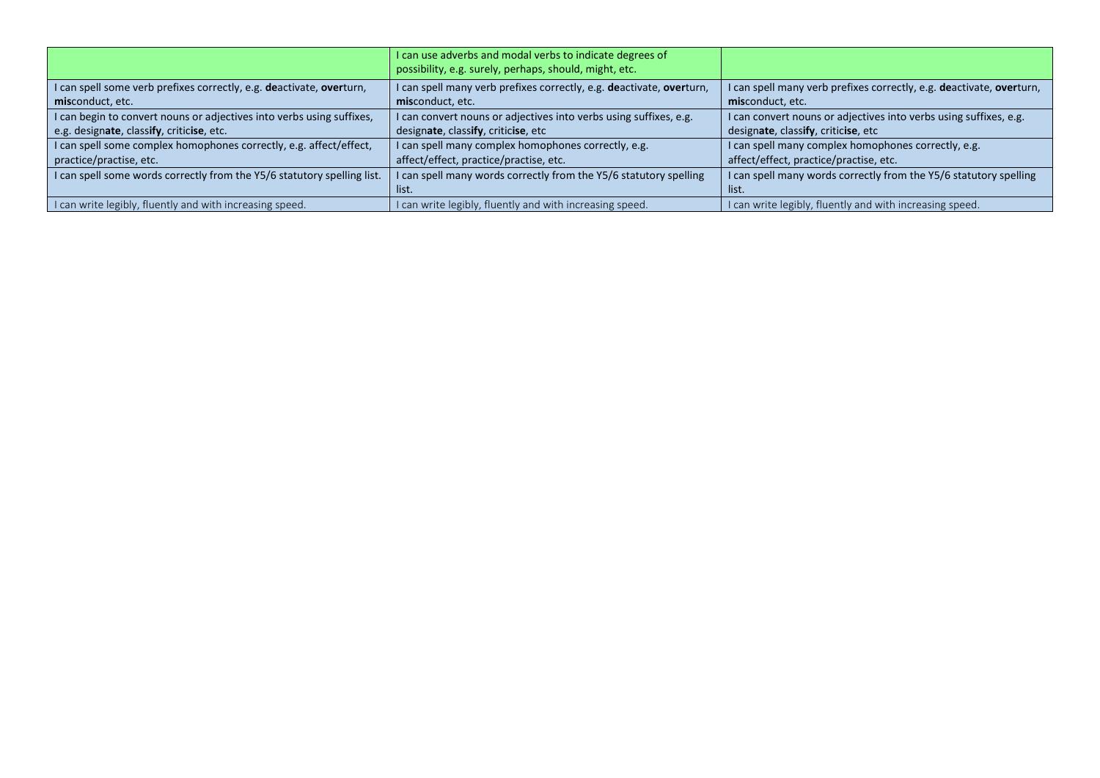|                                                                         | I can use adverbs and modal verbs to indicate degrees of<br>possibility, e.g. surely, perhaps, should, might, etc. |                                                                      |
|-------------------------------------------------------------------------|--------------------------------------------------------------------------------------------------------------------|----------------------------------------------------------------------|
| I can spell some verb prefixes correctly, e.g. deactivate, overturn,    | I can spell many verb prefixes correctly, e.g. deactivate, overturn,                                               | I can spell many verb prefixes correctly, e.g. deactivate, overturn, |
| misconduct, etc.                                                        | misconduct, etc.                                                                                                   | misconduct, etc.                                                     |
| I can begin to convert nouns or adjectives into verbs using suffixes,   | I can convert nouns or adjectives into verbs using suffixes, e.g.                                                  | I can convert nouns or adjectives into verbs using suffixes, e.g.    |
| e.g. designate, classify, criticise, etc.                               | designate, classify, criticise, etc                                                                                | designate, classify, criticise, etc                                  |
| I can spell some complex homophones correctly, e.g. affect/effect,      | I can spell many complex homophones correctly, e.g.                                                                | I can spell many complex homophones correctly, e.g.                  |
| practice/practise, etc.                                                 | affect/effect, practice/practise, etc.                                                                             | affect/effect, practice/practise, etc.                               |
| I can spell some words correctly from the Y5/6 statutory spelling list. | I can spell many words correctly from the Y5/6 statutory spelling                                                  | I can spell many words correctly from the Y5/6 statutory spelling    |
|                                                                         | list.                                                                                                              | list.                                                                |
| I can write legibly, fluently and with increasing speed.                | I can write legibly, fluently and with increasing speed.                                                           | I can write legibly, fluently and with increasing speed.             |